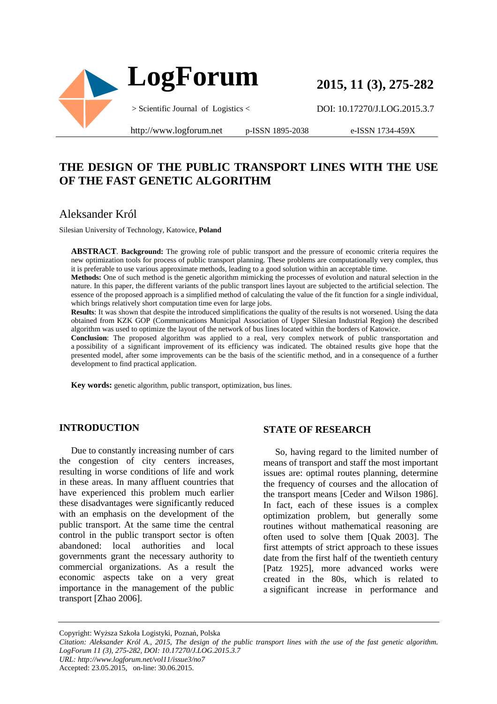

**2015, 11 (3), 275-282**

DOI: 10.17270/J.LOG.2015.3.7

http://www.logforum.net p-ISSN 1895-2038

e-ISSN 1734-459X

## **THE DESIGN OF THE PUBLIC TRANSPORT LINES WITH THE USE OF THE FAST GENETIC ALGORITHM**

### Aleksander Król

Silesian University of Technology, Katowice, **Poland**

**ABSTRACT**. **Background:** The growing role of public transport and the pressure of economic criteria requires the new optimization tools for process of public transport planning. These problems are computationally very complex, thus it is preferable to use various approximate methods, leading to a good solution within an acceptable time.

**Methods:** One of such method is the genetic algorithm mimicking the processes of evolution and natural selection in the nature. In this paper, the different variants of the public transport lines layout are subjected to the artificial selection. The essence of the proposed approach is a simplified method of calculating the value of the fit function for a single individual, which brings relatively short computation time even for large jobs.

**Results**: It was shown that despite the introduced simplifications the quality of the results is not worsened. Using the data obtained from KZK GOP (Communications Municipal Association of Upper Silesian Industrial Region) the described algorithm was used to optimize the layout of the network of bus lines located within the borders of Katowice.

**Conclusion**: The proposed algorithm was applied to a real, very complex network of public transportation and a possibility of a significant improvement of its efficiency was indicated. The obtained results give hope that the presented model, after some improvements can be the basis of the scientific method, and in a consequence of a further development to find practical application.

**Key words:** genetic algorithm, public transport, optimization, bus lines.

#### **INTRODUCTION**

Due to constantly increasing number of cars the congestion of city centers increases, resulting in worse conditions of life and work in these areas. In many affluent countries that have experienced this problem much earlier these disadvantages were significantly reduced with an emphasis on the development of the public transport. At the same time the central control in the public transport sector is often abandoned: local authorities and local governments grant the necessary authority to commercial organizations. As a result the economic aspects take on a very great importance in the management of the public transport [Zhao 2006].

#### **STATE OF RESEARCH**

So, having regard to the limited number of means of transport and staff the most important issues are: optimal routes planning, determine the frequency of courses and the allocation of the transport means [Ceder and Wilson 1986]. In fact, each of these issues is a complex optimization problem, but generally some routines without mathematical reasoning are often used to solve them [Quak 2003]. The first attempts of strict approach to these issues date from the first half of the twentieth century [Patz 1925], more advanced works were created in the 80s, which is related to a significant increase in performance and

Copyright: Wyższa Szkoła Logistyki, Poznań, Polska

*Citation: Aleksander Król A., 2015, The design of the public transport lines with the use of the fast genetic algorithm. LogForum 11 (3), 275-282, DOI: 10.17270/J.LOG.2015.3.7 URL: http://www.logforum.net/vol11/issue3/no7*

Accepted: 23.05.2015, on-line: 30.06.2015.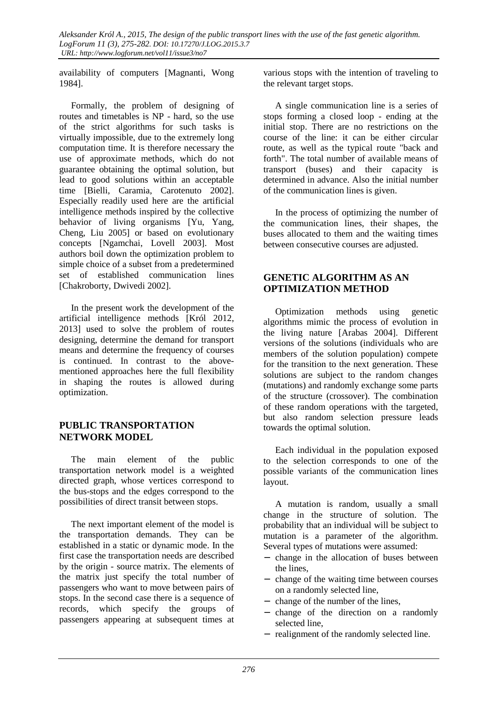availability of computers [Magnanti, Wong 1984].

Formally, the problem of designing of routes and timetables is NP - hard, so the use of the strict algorithms for such tasks is virtually impossible, due to the extremely long computation time. It is therefore necessary the use of approximate methods, which do not guarantee obtaining the optimal solution, but lead to good solutions within an acceptable time [Bielli, Caramia, Carotenuto 2002]. Especially readily used here are the artificial intelligence methods inspired by the collective behavior of living organisms [Yu, Yang, Cheng, Liu 2005] or based on evolutionary concepts [Ngamchai, Lovell 2003]. Most authors boil down the optimization problem to simple choice of a subset from a predetermined set of established communication lines [Chakroborty, Dwivedi 2002].

In the present work the development of the artificial intelligence methods [Król 2012, 2013] used to solve the problem of routes designing, determine the demand for transport means and determine the frequency of courses is continued. In contrast to the abovementioned approaches here the full flexibility in shaping the routes is allowed during optimization.

### **PUBLIC TRANSPORTATION NETWORK MODEL**

The main element of the public transportation network model is a weighted directed graph, whose vertices correspond to the bus-stops and the edges correspond to the possibilities of direct transit between stops.

The next important element of the model is the transportation demands. They can be established in a static or dynamic mode. In the first case the transportation needs are described by the origin - source matrix. The elements of the matrix just specify the total number of passengers who want to move between pairs of stops. In the second case there is a sequence of records, which specify the groups of passengers appearing at subsequent times at

various stops with the intention of traveling to the relevant target stops.

A single communication line is a series of stops forming a closed loop - ending at the initial stop. There are no restrictions on the course of the line: it can be either circular route, as well as the typical route "back and forth". The total number of available means of transport (buses) and their capacity is determined in advance. Also the initial number of the communication lines is given.

In the process of optimizing the number of the communication lines, their shapes, the buses allocated to them and the waiting times between consecutive courses are adjusted.

### **GENETIC ALGORITHM AS AN OPTIMIZATION METHOD**

Optimization methods using genetic algorithms mimic the process of evolution in the living nature [Arabas 2004]. Different versions of the solutions (individuals who are members of the solution population) compete for the transition to the next generation. These solutions are subject to the random changes (mutations) and randomly exchange some parts of the structure (crossover). The combination of these random operations with the targeted, but also random selection pressure leads towards the optimal solution.

Each individual in the population exposed to the selection corresponds to one of the possible variants of the communication lines layout.

A mutation is random, usually a small change in the structure of solution. The probability that an individual will be subject to mutation is a parameter of the algorithm. Several types of mutations were assumed:

- − change in the allocation of buses between the lines,
- − change of the waiting time between courses on a randomly selected line,
- − change of the number of the lines,
- − change of the direction on a randomly selected line,
- − realignment of the randomly selected line.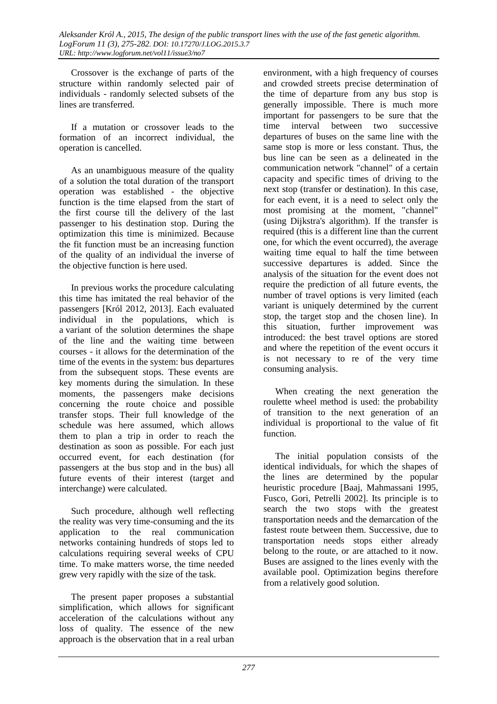Crossover is the exchange of parts of the structure within randomly selected pair of individuals - randomly selected subsets of the lines are transferred.

If a mutation or crossover leads to the formation of an incorrect individual, the operation is cancelled.

As an unambiguous measure of the quality of a solution the total duration of the transport operation was established - the objective function is the time elapsed from the start of the first course till the delivery of the last passenger to his destination stop. During the optimization this time is minimized. Because the fit function must be an increasing function of the quality of an individual the inverse of the objective function is here used.

In previous works the procedure calculating this time has imitated the real behavior of the passengers [Król 2012, 2013]. Each evaluated individual in the populations, which is a variant of the solution determines the shape of the line and the waiting time between courses - it allows for the determination of the time of the events in the system: bus departures from the subsequent stops. These events are key moments during the simulation. In these moments, the passengers make decisions concerning the route choice and possible transfer stops. Their full knowledge of the schedule was here assumed, which allows them to plan a trip in order to reach the destination as soon as possible. For each just occurred event, for each destination (for passengers at the bus stop and in the bus) all future events of their interest (target and interchange) were calculated.

Such procedure, although well reflecting the reality was very time-consuming and the its application to the real communication networks containing hundreds of stops led to calculations requiring several weeks of CPU time. To make matters worse, the time needed grew very rapidly with the size of the task.

The present paper proposes a substantial simplification, which allows for significant acceleration of the calculations without any loss of quality. The essence of the new approach is the observation that in a real urban

environment, with a high frequency of courses and crowded streets precise determination of the time of departure from any bus stop is generally impossible. There is much more important for passengers to be sure that the time interval between two successive departures of buses on the same line with the same stop is more or less constant. Thus, the bus line can be seen as a delineated in the communication network "channel" of a certain capacity and specific times of driving to the next stop (transfer or destination). In this case, for each event, it is a need to select only the most promising at the moment, "channel" (using Dijkstra's algorithm). If the transfer is required (this is a different line than the current one, for which the event occurred), the average waiting time equal to half the time between successive departures is added. Since the analysis of the situation for the event does not require the prediction of all future events, the number of travel options is very limited (each variant is uniquely determined by the current stop, the target stop and the chosen line). In this situation, further improvement was introduced: the best travel options are stored and where the repetition of the event occurs it is not necessary to re of the very time consuming analysis.

When creating the next generation the roulette wheel method is used: the probability of transition to the next generation of an individual is proportional to the value of fit function.

The initial population consists of the identical individuals, for which the shapes of the lines are determined by the popular heuristic procedure [Baaj, Mahmassani 1995, Fusco, Gori, Petrelli 2002]. Its principle is to search the two stops with the greatest transportation needs and the demarcation of the fastest route between them. Successive, due to transportation needs stops either already belong to the route, or are attached to it now. Buses are assigned to the lines evenly with the available pool. Optimization begins therefore from a relatively good solution.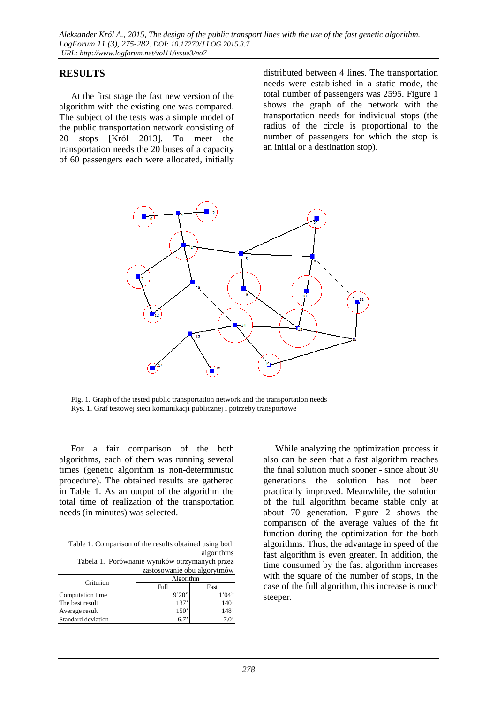### **RESULTS**

At the first stage the fast new version of the algorithm with the existing one was compared. The subject of the tests was a simple model of the public transportation network consisting of 20 stops [Król 2013]. To meet the transportation needs the 20 buses of a capacity of 60 passengers each were allocated, initially

distributed between 4 lines. The transportation needs were established in a static mode, the total number of passengers was 2595. Figure 1 shows the graph of the network with the transportation needs for individual stops (the radius of the circle is proportional to the number of passengers for which the stop is an initial or a destination stop).



Fig. 1. Graph of the tested public transportation network and the transportation needs Rys. 1. Graf testowej sieci komunikacji publicznej i potrzeby transportowe

For a fair comparison of the both algorithms, each of them was running several times (genetic algorithm is non-deterministic procedure). The obtained results are gathered in Table 1. As an output of the algorithm the total time of realization of the transportation needs (in minutes) was selected.

Table 1. Comparison of the results obtained using both algorithms

Tabela 1. Porównanie wyników otrzymanych przez zastosowanie obu algorytmów

| Criterion          | Algorithm |      |
|--------------------|-----------|------|
|                    | Full      | Fast |
| Computation time   | 9'20''    | (1)  |
| The best result    | 137       |      |
| Average result     |           |      |
| Standard deviation |           |      |

While analyzing the optimization process it also can be seen that a fast algorithm reaches the final solution much sooner - since about 30 generations the solution has not been practically improved. Meanwhile, the solution of the full algorithm became stable only at about 70 generation. Figure 2 shows the comparison of the average values of the fit function during the optimization for the both algorithms. Thus, the advantage in speed of the fast algorithm is even greater. In addition, the time consumed by the fast algorithm increases with the square of the number of stops, in the case of the full algorithm, this increase is much steeper.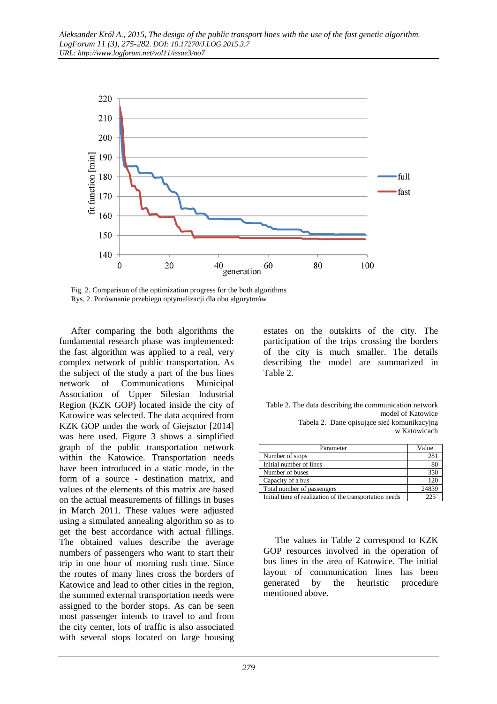

Fig. 2. Comparison of the optimization progress for the both algorithms Rys. 2. Porównanie przebiegu optymalizacji dla obu algorytmów

After comparing the both algorithms the fundamental research phase was implemented: the fast algorithm was applied to a real, very complex network of public transportation. As the subject of the study a part of the bus lines network of Communications Municipal Association of Upper Silesian Industrial Region (KZK GOP) located inside the city of Katowice was selected. The data acquired from KZK GOP under the work of Giejsztor [2014] was here used. Figure 3 shows a simplified graph of the public transportation network within the Katowice. Transportation needs have been introduced in a static mode, in the form of a source - destination matrix, and values of the elements of this matrix are based on the actual measurements of fillings in buses in March 2011. These values were adjusted using a simulated annealing algorithm so as to get the best accordance with actual fillings. The obtained values describe the average numbers of passengers who want to start their trip in one hour of morning rush time. Since the routes of many lines cross the borders of Katowice and lead to other cities in the region, the summed external transportation needs were assigned to the border stops. As can be seen most passenger intends to travel to and from the city center, lots of traffic is also associated with several stops located on large housing

estates on the outskirts of the city. The participation of the trips crossing the borders of the city is much smaller. The details describing the model are summarized in Table 2.

Table 2. The data describing the communication network model of Katowice Tabela 2. Dane opisujące sieć komunikacyjną w Katowicach

| Parameter                                               | Value |
|---------------------------------------------------------|-------|
| Number of stops                                         | 281   |
| Initial number of lines                                 | 80    |
| Number of buses                                         | 350   |
| Capacity of a bus                                       | 120   |
| Total number of passengers                              | 24839 |
| Initial time of realization of the transportation needs | 225   |

The values in Table 2 correspond to KZK GOP resources involved in the operation of bus lines in the area of Katowice. The initial layout of communication lines has been generated by the heuristic procedure mentioned above.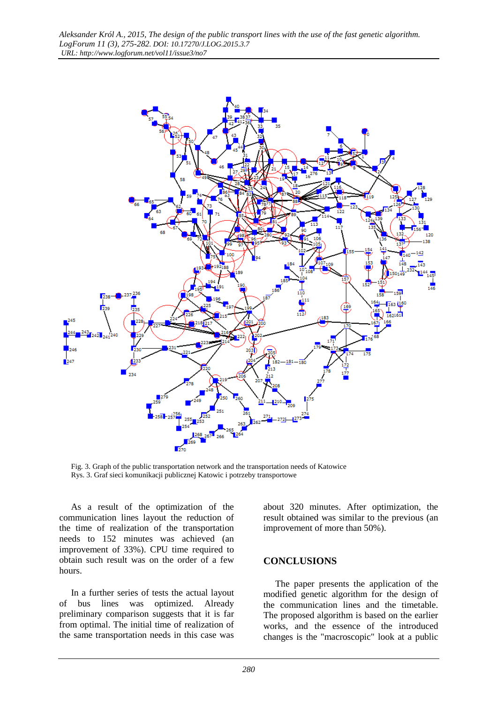

Fig. 3. Graph of the public transportation network and the transportation needs of Katowice Rys. 3. Graf sieci komunikacji publicznej Katowic i potrzeby transportowe

As a result of the optimization of the communication lines layout the reduction of the time of realization of the transportation needs to 152 minutes was achieved (an improvement of 33%). CPU time required to obtain such result was on the order of a few hours.

In a further series of tests the actual layout of bus lines was optimized. Already preliminary comparison suggests that it is far from optimal. The initial time of realization of the same transportation needs in this case was

about 320 minutes. After optimization, the result obtained was similar to the previous (an improvement of more than 50%).

#### **CONCLUSIONS**

The paper presents the application of the modified genetic algorithm for the design of the communication lines and the timetable. The proposed algorithm is based on the earlier works, and the essence of the introduced changes is the "macroscopic" look at a public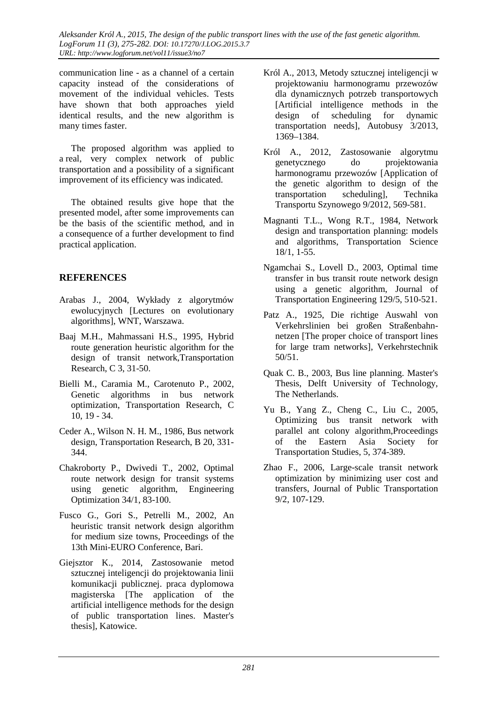communication line - as a channel of a certain capacity instead of the considerations of movement of the individual vehicles. Tests have shown that both approaches yield identical results, and the new algorithm is many times faster.

The proposed algorithm was applied to a real, very complex network of public transportation and a possibility of a significant improvement of its efficiency was indicated.

The obtained results give hope that the presented model, after some improvements can be the basis of the scientific method, and in a consequence of a further development to find practical application.

## **REFERENCES**

- Arabas J., 2004, Wykłady z algorytmów ewolucyjnych [Lectures on evolutionary algorithms], WNT, Warszawa.
- Baaj M.H., Mahmassani H.S., 1995, Hybrid route generation heuristic algorithm for the design of transit network,Transportation Research, C 3, 31-50.
- Bielli M., Caramia M., Carotenuto P., 2002, Genetic algorithms in bus network optimization, Transportation Research, C 10, 19 - 34.
- Ceder A., Wilson N. H. M., 1986, Bus network design, Transportation Research, B 20, 331- 344.
- Chakroborty P., Dwivedi T., 2002, Optimal route network design for transit systems using genetic algorithm, Engineering Optimization 34/1, 83-100.
- Fusco G., Gori S., Petrelli M., 2002, An heuristic transit network design algorithm for medium size towns, Proceedings of the 13th Mini-EURO Conference, Bari.
- Giejsztor K., 2014, Zastosowanie metod sztucznej inteligencji do projektowania linii komunikacji publicznej, praca dyplomowa magisterska [The application of the artificial intelligence methods for the design of public transportation lines. Master's thesis], Katowice.
- Król A., 2013, Metody sztucznej inteligencji w projektowaniu harmonogramu przewozów dla dynamicznych potrzeb transportowych [Artificial intelligence methods in the design of scheduling for dynamic transportation needs], Autobusy 3/2013, 1369–1384.
- Król A., 2012, Zastosowanie algorytmu genetycznego do projektowania harmonogramu przewozów [Application of the genetic algorithm to design of the transportation scheduling], Technika Transportu Szynowego 9/2012, 569-581.
- Magnanti T.L., Wong R.T., 1984, Network design and transportation planning: models and algorithms, Transportation Science 18/1, 1-55.
- Ngamchai S., Lovell D., 2003, Optimal time transfer in bus transit route network design using a genetic algorithm, Journal of Transportation Engineering 129/5, 510-521.
- Patz A., 1925, Die richtige Auswahl von Verkehrslinien bei großen Straßenbahnnetzen [The proper choice of transport lines for large tram networks], Verkehrstechnik 50/51.
- Quak C. B., 2003, Bus line planning. Master's Thesis, Delft University of Technology, The Netherlands.
- Yu B., Yang Z., Cheng C., Liu C., 2005, Optimizing bus transit network with parallel ant colony algorithm,Proceedings of the Eastern Asia Society for Transportation Studies, 5, 374-389.
- Zhao F., 2006, Large-scale transit network optimization by minimizing user cost and transfers, Journal of Public Transportation 9/2, 107-129.